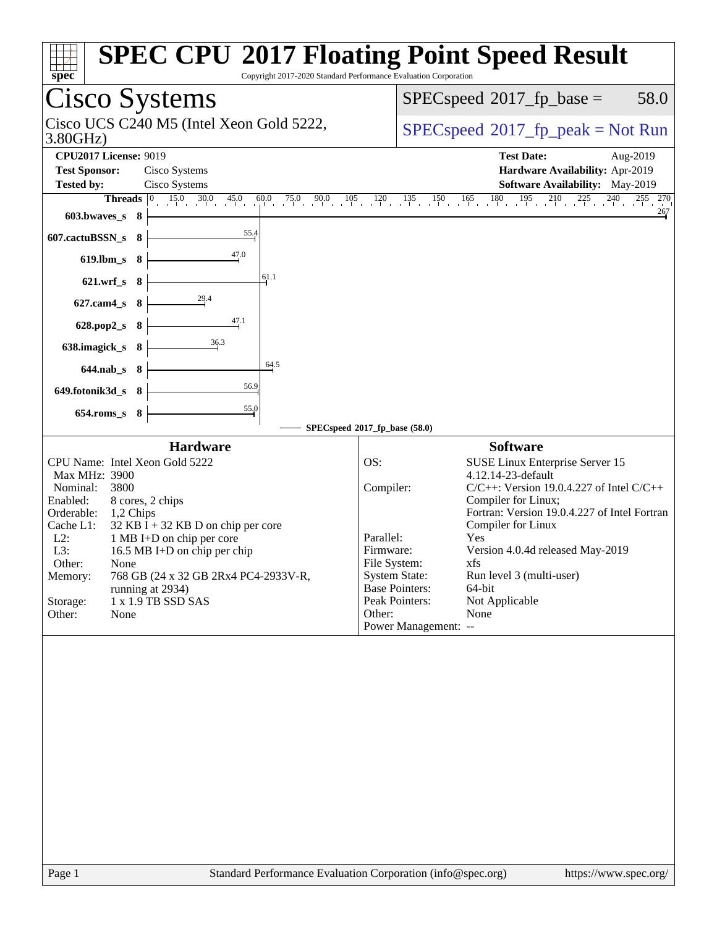| Cisco Systems<br>$SPEC speed^{\circ}2017\_fp\_base =$<br>Cisco UCS C240 M5 (Intel Xeon Gold 5222,<br>3.80GHz)<br><b>CPU2017 License: 9019</b><br><b>Test Date:</b><br>Aug-2019<br><b>Test Sponsor:</b><br>Cisco Systems<br>Hardware Availability: Apr-2019<br>Cisco Systems<br>Software Availability: May-2019<br><b>Tested by:</b><br>$15.0$ $30.0$ $45.0$ $60.0$ $75.0$ $90.0$ $105$ $120$ $135$ $150$ $165$ $180$ $195$ $210$ $225$ $240$<br><b>Threads</b><br>$ 0\rangle$<br>603.bwaves_s 8<br>55.4<br>607.cactuBSSN_s<br>- 8<br>47.0<br>619.lbm_s<br>- 8<br>61.1<br>$621.wrf$ <sub>S</sub><br>- 8<br>$\frac{29.4}{4}$<br>627.cam4_s<br>- 8<br>47.1<br>628.pop2_s<br>- 8<br>36.3<br>638.imagick_s 8<br>64.5<br>644.nab_s 8<br>56.9<br>649.fotonik3d_s 8<br>$\frac{55.0}{4}$<br>654.roms_s 8<br>SPECspeed®2017_fp_base (58.0)<br><b>Hardware</b><br><b>Software</b><br>CPU Name: Intel Xeon Gold 5222<br>OS:<br>SUSE Linux Enterprise Server 15<br>4.12.14-23-default<br>Max MHz: 3900<br>Compiler:<br>Nominal:<br>3800<br>Compiler for Linux;<br>Enabled:<br>8 cores, 2 chips<br>Orderable:<br>1,2 Chips<br>Compiler for Linux<br>Cache L1:<br>$32$ KB I + 32 KB D on chip per core<br>Parallel:<br>Yes<br>$L2$ :<br>1 MB I+D on chip per core<br>L3:<br>Version 4.0.4d released May-2019<br>16.5 MB I+D on chip per chip<br>Firmware:<br>File System:<br>Other:<br>xfs<br>None<br><b>System State:</b><br>Run level 3 (multi-user)<br>768 GB (24 x 32 GB 2Rx4 PC4-2933V-R,<br>Memory:<br><b>Base Pointers:</b><br>64-bit<br>running at 2934)<br>Peak Pointers:<br>Not Applicable<br>Storage:<br>1 x 1.9 TB SSD SAS<br>Other:<br>None<br>Other:<br>None<br>Power Management: -- | $spec*$ | <b>SPEC CPU®2017 Floating Point Speed Result</b><br>Copyright 2017-2020 Standard Performance Evaluation Corporation |
|-------------------------------------------------------------------------------------------------------------------------------------------------------------------------------------------------------------------------------------------------------------------------------------------------------------------------------------------------------------------------------------------------------------------------------------------------------------------------------------------------------------------------------------------------------------------------------------------------------------------------------------------------------------------------------------------------------------------------------------------------------------------------------------------------------------------------------------------------------------------------------------------------------------------------------------------------------------------------------------------------------------------------------------------------------------------------------------------------------------------------------------------------------------------------------------------------------------------------------------------------------------------------------------------------------------------------------------------------------------------------------------------------------------------------------------------------------------------------------------------------------------------------------------------------------------------------------------------------------------------------------------------------------------------------------------|---------|---------------------------------------------------------------------------------------------------------------------|
|                                                                                                                                                                                                                                                                                                                                                                                                                                                                                                                                                                                                                                                                                                                                                                                                                                                                                                                                                                                                                                                                                                                                                                                                                                                                                                                                                                                                                                                                                                                                                                                                                                                                                     |         | 58.0                                                                                                                |
|                                                                                                                                                                                                                                                                                                                                                                                                                                                                                                                                                                                                                                                                                                                                                                                                                                                                                                                                                                                                                                                                                                                                                                                                                                                                                                                                                                                                                                                                                                                                                                                                                                                                                     |         | $SPEC speed^{\circ}2017\_fp\_peak = Not Run$                                                                        |
|                                                                                                                                                                                                                                                                                                                                                                                                                                                                                                                                                                                                                                                                                                                                                                                                                                                                                                                                                                                                                                                                                                                                                                                                                                                                                                                                                                                                                                                                                                                                                                                                                                                                                     |         |                                                                                                                     |
|                                                                                                                                                                                                                                                                                                                                                                                                                                                                                                                                                                                                                                                                                                                                                                                                                                                                                                                                                                                                                                                                                                                                                                                                                                                                                                                                                                                                                                                                                                                                                                                                                                                                                     |         | 255 270<br>267                                                                                                      |
|                                                                                                                                                                                                                                                                                                                                                                                                                                                                                                                                                                                                                                                                                                                                                                                                                                                                                                                                                                                                                                                                                                                                                                                                                                                                                                                                                                                                                                                                                                                                                                                                                                                                                     |         |                                                                                                                     |
|                                                                                                                                                                                                                                                                                                                                                                                                                                                                                                                                                                                                                                                                                                                                                                                                                                                                                                                                                                                                                                                                                                                                                                                                                                                                                                                                                                                                                                                                                                                                                                                                                                                                                     |         |                                                                                                                     |
|                                                                                                                                                                                                                                                                                                                                                                                                                                                                                                                                                                                                                                                                                                                                                                                                                                                                                                                                                                                                                                                                                                                                                                                                                                                                                                                                                                                                                                                                                                                                                                                                                                                                                     |         |                                                                                                                     |
|                                                                                                                                                                                                                                                                                                                                                                                                                                                                                                                                                                                                                                                                                                                                                                                                                                                                                                                                                                                                                                                                                                                                                                                                                                                                                                                                                                                                                                                                                                                                                                                                                                                                                     |         |                                                                                                                     |
|                                                                                                                                                                                                                                                                                                                                                                                                                                                                                                                                                                                                                                                                                                                                                                                                                                                                                                                                                                                                                                                                                                                                                                                                                                                                                                                                                                                                                                                                                                                                                                                                                                                                                     |         |                                                                                                                     |
|                                                                                                                                                                                                                                                                                                                                                                                                                                                                                                                                                                                                                                                                                                                                                                                                                                                                                                                                                                                                                                                                                                                                                                                                                                                                                                                                                                                                                                                                                                                                                                                                                                                                                     |         | $C/C++$ : Version 19.0.4.227 of Intel $C/C++$<br>Fortran: Version 19.0.4.227 of Intel Fortran                       |
| Standard Performance Evaluation Corporation (info@spec.org)<br>Page 1                                                                                                                                                                                                                                                                                                                                                                                                                                                                                                                                                                                                                                                                                                                                                                                                                                                                                                                                                                                                                                                                                                                                                                                                                                                                                                                                                                                                                                                                                                                                                                                                               |         | https://www.spec.org/                                                                                               |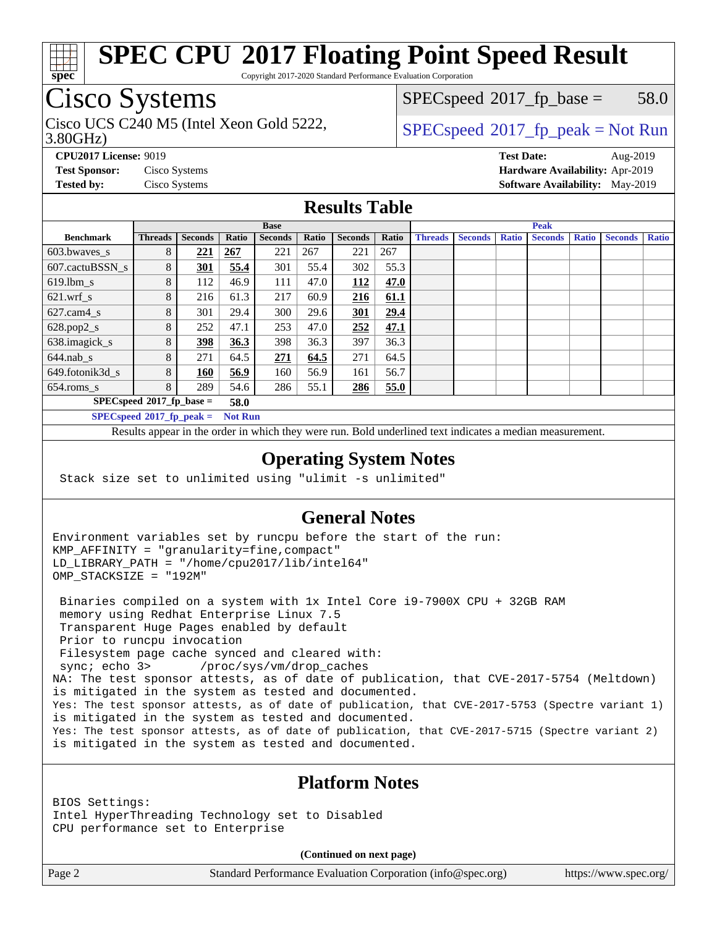

Copyright 2017-2020 Standard Performance Evaluation Corporation

## Cisco Systems

3.80GHz) Cisco UCS C240 M5 (Intel Xeon Gold 5222,  $\begin{array}{c|c}\n\text{SPEC speed} \text{?}2017\_fp\_peak = Not Run\n\end{array}$ 

 $SPECspeed^{\circ}2017\_fp\_base = 58.0$  $SPECspeed^{\circ}2017\_fp\_base = 58.0$ 

**[CPU2017 License:](http://www.spec.org/auto/cpu2017/Docs/result-fields.html#CPU2017License)** 9019 **[Test Date:](http://www.spec.org/auto/cpu2017/Docs/result-fields.html#TestDate)** Aug-2019 **[Test Sponsor:](http://www.spec.org/auto/cpu2017/Docs/result-fields.html#TestSponsor)** Cisco Systems **[Hardware Availability:](http://www.spec.org/auto/cpu2017/Docs/result-fields.html#HardwareAvailability)** Apr-2019 **[Tested by:](http://www.spec.org/auto/cpu2017/Docs/result-fields.html#Testedby)** Cisco Systems **[Software Availability:](http://www.spec.org/auto/cpu2017/Docs/result-fields.html#SoftwareAvailability)** May-2019

### **[Results Table](http://www.spec.org/auto/cpu2017/Docs/result-fields.html#ResultsTable)**

|                                               | <b>Base</b>    |                |       |                |       | <b>Peak</b>    |       |                |                |              |                |              |                |              |
|-----------------------------------------------|----------------|----------------|-------|----------------|-------|----------------|-------|----------------|----------------|--------------|----------------|--------------|----------------|--------------|
| <b>Benchmark</b>                              | <b>Threads</b> | <b>Seconds</b> | Ratio | <b>Seconds</b> | Ratio | <b>Seconds</b> | Ratio | <b>Threads</b> | <b>Seconds</b> | <b>Ratio</b> | <b>Seconds</b> | <b>Ratio</b> | <b>Seconds</b> | <b>Ratio</b> |
| 603.bwayes_s                                  | 8              | <u>221</u>     | 267   | 221            | 267   | 221            | 267   |                |                |              |                |              |                |              |
| 607.cactuBSSN s                               | 8              | <b>301</b>     | 55.4  | 301            | 55.4  | 302            | 55.3  |                |                |              |                |              |                |              |
| $619.$ lbm s                                  | 8              | 112            | 46.9  | 111            | 47.0  | 112            | 47.0  |                |                |              |                |              |                |              |
| $621.wrf$ s                                   | 8              | 216            | 61.3  | 217            | 60.9  | 216            | 61.1  |                |                |              |                |              |                |              |
| $627$ .cam4 s                                 | 8              | 301            | 29.4  | 300            | 29.6  | <u>301</u>     | 29.4  |                |                |              |                |              |                |              |
| $628.pop2_s$                                  | 8              | 252            | 47.1  | 253            | 47.0  | 252            | 47.1  |                |                |              |                |              |                |              |
| 638.imagick_s                                 | 8              | 398            | 36.3  | 398            | 36.3  | 397            | 36.3  |                |                |              |                |              |                |              |
| $644$ .nab s                                  | 8              | 271            | 64.5  | 271            | 64.5  | 271            | 64.5  |                |                |              |                |              |                |              |
| 649.fotonik3d s                               | 8              | 160            | 56.9  | 160            | 56.9  | 161            | 56.7  |                |                |              |                |              |                |              |
| $654$ .roms_s                                 | 8              | 289            | 54.6  | 286            | 55.1  | 286            | 55.0  |                |                |              |                |              |                |              |
| $SPECspeed*2017_fp\_base =$<br>58.0           |                |                |       |                |       |                |       |                |                |              |                |              |                |              |
| $SPECspeed*2017_fp\_peak =$<br><b>Not Run</b> |                |                |       |                |       |                |       |                |                |              |                |              |                |              |

Results appear in the [order in which they were run.](http://www.spec.org/auto/cpu2017/Docs/result-fields.html#RunOrder) Bold underlined text [indicates a median measurement](http://www.spec.org/auto/cpu2017/Docs/result-fields.html#Median).

#### **[Operating System Notes](http://www.spec.org/auto/cpu2017/Docs/result-fields.html#OperatingSystemNotes)**

Stack size set to unlimited using "ulimit -s unlimited"

### **[General Notes](http://www.spec.org/auto/cpu2017/Docs/result-fields.html#GeneralNotes)**

Environment variables set by runcpu before the start of the run: KMP\_AFFINITY = "granularity=fine,compact" LD\_LIBRARY\_PATH = "/home/cpu2017/lib/intel64" OMP\_STACKSIZE = "192M"

 Binaries compiled on a system with 1x Intel Core i9-7900X CPU + 32GB RAM memory using Redhat Enterprise Linux 7.5 Transparent Huge Pages enabled by default Prior to runcpu invocation Filesystem page cache synced and cleared with: sync; echo 3> /proc/sys/vm/drop\_caches NA: The test sponsor attests, as of date of publication, that CVE-2017-5754 (Meltdown) is mitigated in the system as tested and documented. Yes: The test sponsor attests, as of date of publication, that CVE-2017-5753 (Spectre variant 1) is mitigated in the system as tested and documented. Yes: The test sponsor attests, as of date of publication, that CVE-2017-5715 (Spectre variant 2) is mitigated in the system as tested and documented.

### **[Platform Notes](http://www.spec.org/auto/cpu2017/Docs/result-fields.html#PlatformNotes)**

BIOS Settings: Intel HyperThreading Technology set to Disabled CPU performance set to Enterprise

**(Continued on next page)**

Page 2 Standard Performance Evaluation Corporation [\(info@spec.org\)](mailto:info@spec.org) <https://www.spec.org/>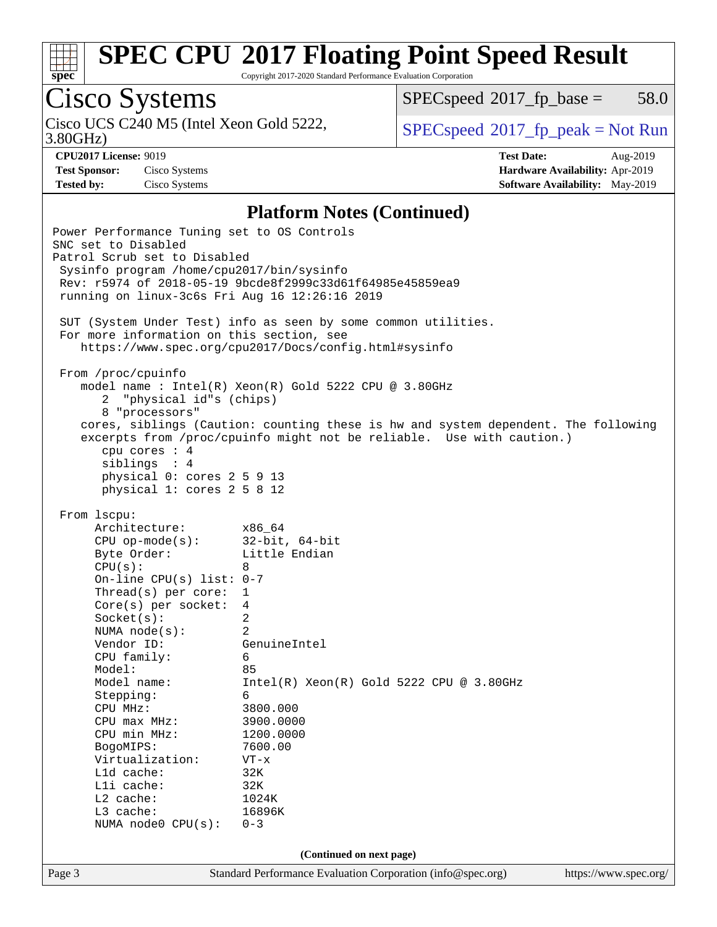

Copyright 2017-2020 Standard Performance Evaluation Corporation

# Cisco Systems

3.80GHz) Cisco UCS C240 M5 (Intel Xeon Gold 5222,  $\begin{array}{c|c}\n\text{SPEC speed} \textdegree 2017\_fp\_peak = Not Run\n\end{array}$ 

 $SPECspeed^{\circ}2017\_fp\_base = 58.0$  $SPECspeed^{\circ}2017\_fp\_base = 58.0$ 

**[Test Sponsor:](http://www.spec.org/auto/cpu2017/Docs/result-fields.html#TestSponsor)** Cisco Systems **[Hardware Availability:](http://www.spec.org/auto/cpu2017/Docs/result-fields.html#HardwareAvailability)** Apr-2019

**[CPU2017 License:](http://www.spec.org/auto/cpu2017/Docs/result-fields.html#CPU2017License)** 9019 **[Test Date:](http://www.spec.org/auto/cpu2017/Docs/result-fields.html#TestDate)** Aug-2019 **[Tested by:](http://www.spec.org/auto/cpu2017/Docs/result-fields.html#Testedby)** Cisco Systems **[Software Availability:](http://www.spec.org/auto/cpu2017/Docs/result-fields.html#SoftwareAvailability)** May-2019

#### **[Platform Notes \(Continued\)](http://www.spec.org/auto/cpu2017/Docs/result-fields.html#PlatformNotes)**

Page 3 Standard Performance Evaluation Corporation [\(info@spec.org\)](mailto:info@spec.org) <https://www.spec.org/> Power Performance Tuning set to OS Controls SNC set to Disabled Patrol Scrub set to Disabled Sysinfo program /home/cpu2017/bin/sysinfo Rev: r5974 of 2018-05-19 9bcde8f2999c33d61f64985e45859ea9 running on linux-3c6s Fri Aug 16 12:26:16 2019 SUT (System Under Test) info as seen by some common utilities. For more information on this section, see <https://www.spec.org/cpu2017/Docs/config.html#sysinfo> From /proc/cpuinfo model name : Intel(R) Xeon(R) Gold 5222 CPU @ 3.80GHz 2 "physical id"s (chips) 8 "processors" cores, siblings (Caution: counting these is hw and system dependent. The following excerpts from /proc/cpuinfo might not be reliable. Use with caution.) cpu cores : 4 siblings : 4 physical 0: cores 2 5 9 13 physical 1: cores 2 5 8 12 From lscpu: Architecture: x86\_64 CPU op-mode(s): 32-bit, 64-bit Byte Order: Little Endian  $CPU(s):$  8 On-line CPU(s) list: 0-7 Thread(s) per core: 1 Core(s) per socket: 4 Socket(s): 2 NUMA node(s): 2 Vendor ID: GenuineIntel CPU family: 6 Model: 85 Model name: Intel(R) Xeon(R) Gold 5222 CPU @ 3.80GHz Stepping: 6 CPU MHz: 3800.000 CPU max MHz: 3900.0000 CPU min MHz: 1200.0000 BogoMIPS: 7600.00 Virtualization: VT-x L1d cache: 32K L1i cache: 32K L2 cache: 1024K L3 cache: 16896K NUMA node0 CPU(s): 0-3 **(Continued on next page)**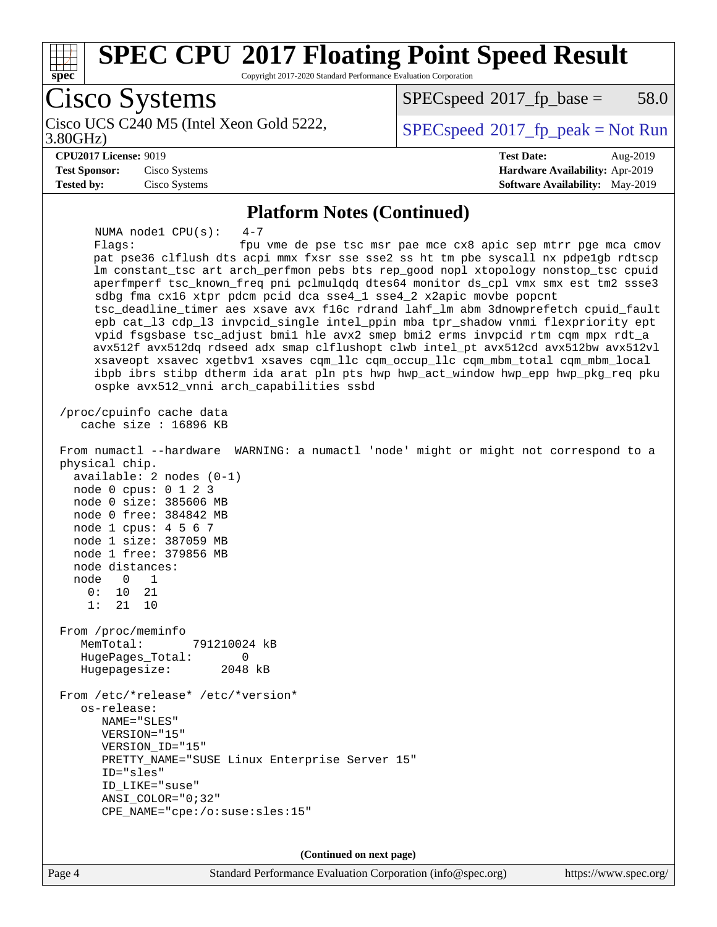

**(Continued on next page)**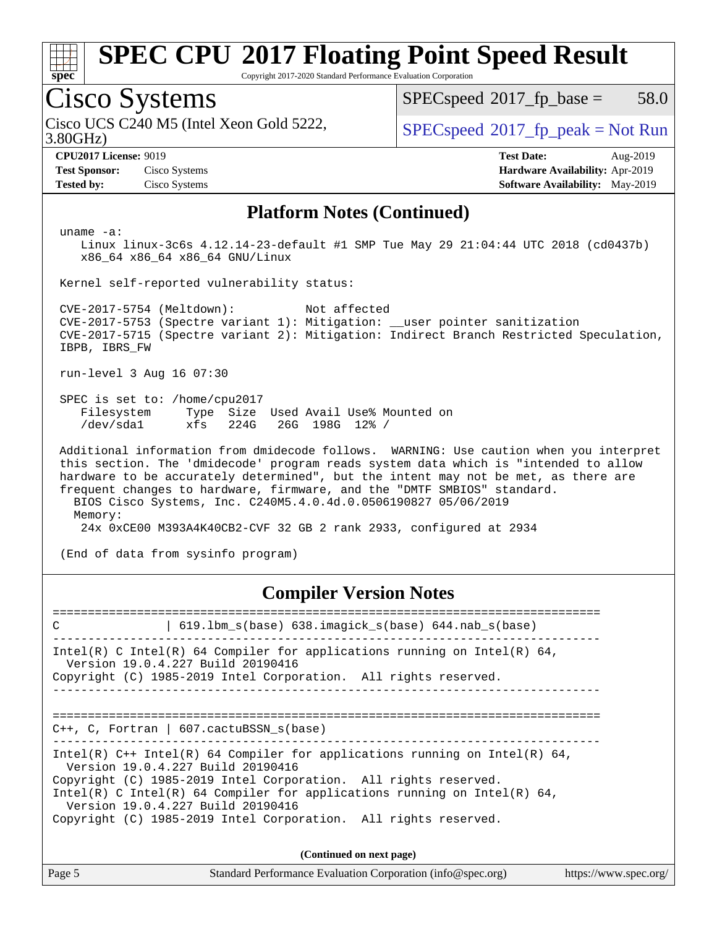

Copyright 2017-2020 Standard Performance Evaluation Corporation

## Cisco Systems

3.80GHz) Cisco UCS C240 M5 (Intel Xeon Gold 5222,  $\begin{array}{c|c}\n\text{SPEC speed} \textdegree 2017\_fp\_peak = Not Run\n\end{array}$ 

 $SPECspeed^{\circledcirc}2017_fp\_base = 58.0$  $SPECspeed^{\circledcirc}2017_fp\_base = 58.0$ 

**[Test Sponsor:](http://www.spec.org/auto/cpu2017/Docs/result-fields.html#TestSponsor)** Cisco Systems **[Hardware Availability:](http://www.spec.org/auto/cpu2017/Docs/result-fields.html#HardwareAvailability)** Apr-2019 **[Tested by:](http://www.spec.org/auto/cpu2017/Docs/result-fields.html#Testedby)** Cisco Systems **[Software Availability:](http://www.spec.org/auto/cpu2017/Docs/result-fields.html#SoftwareAvailability)** May-2019

**[CPU2017 License:](http://www.spec.org/auto/cpu2017/Docs/result-fields.html#CPU2017License)** 9019 **[Test Date:](http://www.spec.org/auto/cpu2017/Docs/result-fields.html#TestDate)** Aug-2019

#### **[Platform Notes \(Continued\)](http://www.spec.org/auto/cpu2017/Docs/result-fields.html#PlatformNotes)**

uname -a:

 Linux linux-3c6s 4.12.14-23-default #1 SMP Tue May 29 21:04:44 UTC 2018 (cd0437b) x86\_64 x86\_64 x86\_64 GNU/Linux

Kernel self-reported vulnerability status:

 CVE-2017-5754 (Meltdown): Not affected CVE-2017-5753 (Spectre variant 1): Mitigation: \_\_user pointer sanitization CVE-2017-5715 (Spectre variant 2): Mitigation: Indirect Branch Restricted Speculation, IBPB, IBRS\_FW

run-level 3 Aug 16 07:30

 SPEC is set to: /home/cpu2017 Filesystem Type Size Used Avail Use% Mounted on /dev/sda1 xfs 224G 26G 198G 12% /

 Additional information from dmidecode follows. WARNING: Use caution when you interpret this section. The 'dmidecode' program reads system data which is "intended to allow hardware to be accurately determined", but the intent may not be met, as there are frequent changes to hardware, firmware, and the "DMTF SMBIOS" standard. BIOS Cisco Systems, Inc. C240M5.4.0.4d.0.0506190827 05/06/2019 Memory: 24x 0xCE00 M393A4K40CB2-CVF 32 GB 2 rank 2933, configured at 2934

(End of data from sysinfo program)

#### **[Compiler Version Notes](http://www.spec.org/auto/cpu2017/Docs/result-fields.html#CompilerVersionNotes)**

============================================================================== C | 619.lbm\_s(base) 638.imagick\_s(base) 644.nab\_s(base) ------------------------------------------------------------------------------ Intel(R) C Intel(R) 64 Compiler for applications running on Intel(R)  $64$ , Version 19.0.4.227 Build 20190416 Copyright (C) 1985-2019 Intel Corporation. All rights reserved. ------------------------------------------------------------------------------ ============================================================================== C++, C, Fortran | 607.cactuBSSN\_s(base) ------------------------------------------------------------------------------ Intel(R)  $C++$  Intel(R) 64 Compiler for applications running on Intel(R) 64, Version 19.0.4.227 Build 20190416 Copyright (C) 1985-2019 Intel Corporation. All rights reserved. Intel(R) C Intel(R) 64 Compiler for applications running on Intel(R)  $64$ , Version 19.0.4.227 Build 20190416 Copyright (C) 1985-2019 Intel Corporation. All rights reserved.

**(Continued on next page)**

| Page 5 | Standard Performance Evaluation Corporation (info@spec.org) | https://www.spec.org/ |
|--------|-------------------------------------------------------------|-----------------------|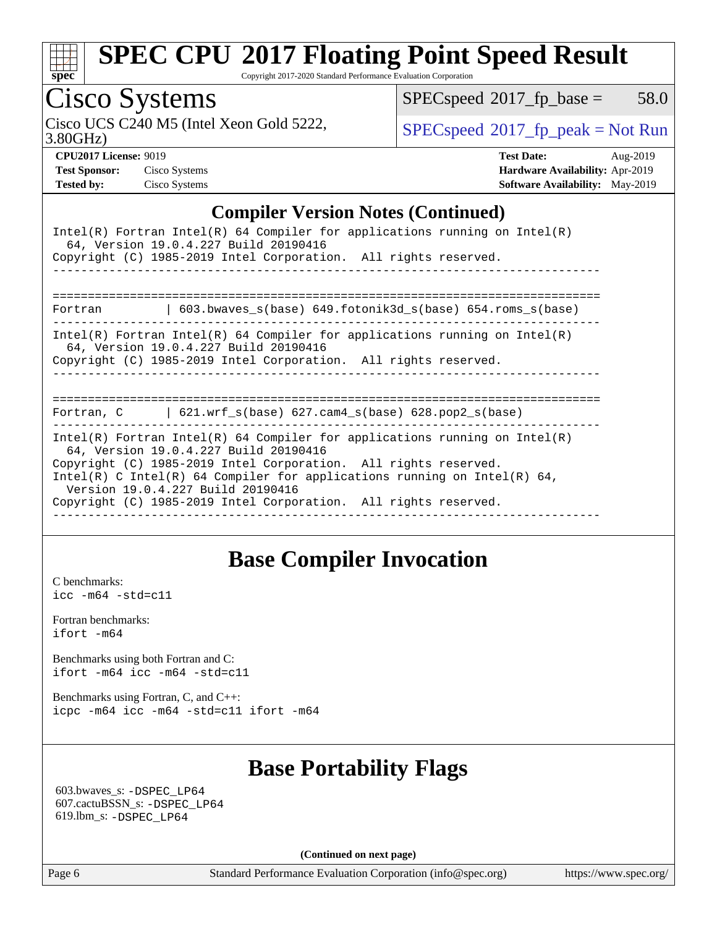

Copyright 2017-2020 Standard Performance Evaluation Corporation

## Cisco Systems

Cisco UCS C240 M5 (Intel Xeon Gold 5222,  $\begin{array}{c|c}\n\text{SPEC speed} \text{?}2017\_fp\_peak = Not Run\n\end{array}$ 

 $SPECspeed^{\circledcirc}2017_fp\_base = 58.0$  $SPECspeed^{\circledcirc}2017_fp\_base = 58.0$ 

3.80GHz)

**[Test Sponsor:](http://www.spec.org/auto/cpu2017/Docs/result-fields.html#TestSponsor)** Cisco Systems **[Hardware Availability:](http://www.spec.org/auto/cpu2017/Docs/result-fields.html#HardwareAvailability)** Apr-2019 **[Tested by:](http://www.spec.org/auto/cpu2017/Docs/result-fields.html#Testedby)** Cisco Systems **[Software Availability:](http://www.spec.org/auto/cpu2017/Docs/result-fields.html#SoftwareAvailability)** May-2019

**[CPU2017 License:](http://www.spec.org/auto/cpu2017/Docs/result-fields.html#CPU2017License)** 9019 **[Test Date:](http://www.spec.org/auto/cpu2017/Docs/result-fields.html#TestDate)** Aug-2019

### **[Compiler Version Notes \(Continued\)](http://www.spec.org/auto/cpu2017/Docs/result-fields.html#CompilerVersionNotes)**

| Intel(R) Fortran Intel(R) 64 Compiler for applications running on Intel(R)<br>64, Version 19.0.4.227 Build 20190416<br>Copyright (C) 1985-2019 Intel Corporation. All rights reserved.                                                                                                                                                                                     |  |  |  |  |  |  |
|----------------------------------------------------------------------------------------------------------------------------------------------------------------------------------------------------------------------------------------------------------------------------------------------------------------------------------------------------------------------------|--|--|--|--|--|--|
| =========================                                                                                                                                                                                                                                                                                                                                                  |  |  |  |  |  |  |
| 603.bwaves $s(base)$ 649.fotonik3d $s(base)$ 654.roms $s(base)$<br>Fortran                                                                                                                                                                                                                                                                                                 |  |  |  |  |  |  |
| Intel(R) Fortran Intel(R) 64 Compiler for applications running on Intel(R)<br>64, Version 19.0.4.227 Build 20190416<br>Copyright (C) 1985-2019 Intel Corporation. All rights reserved.                                                                                                                                                                                     |  |  |  |  |  |  |
|                                                                                                                                                                                                                                                                                                                                                                            |  |  |  |  |  |  |
| Fortran, $C = \{621. \text{wrf s}(\text{base}) \}$ 627. cam4 s(base) 628. pop2 s(base)                                                                                                                                                                                                                                                                                     |  |  |  |  |  |  |
| Intel(R) Fortran Intel(R) 64 Compiler for applications running on Intel(R)<br>64, Version 19.0.4.227 Build 20190416<br>Copyright (C) 1985-2019 Intel Corporation. All rights reserved.<br>Intel(R) C Intel(R) 64 Compiler for applications running on Intel(R) 64,<br>Version 19.0.4.227 Build 20190416<br>Copyright (C) 1985-2019 Intel Corporation. All rights reserved. |  |  |  |  |  |  |

## **[Base Compiler Invocation](http://www.spec.org/auto/cpu2017/Docs/result-fields.html#BaseCompilerInvocation)**

[C benchmarks](http://www.spec.org/auto/cpu2017/Docs/result-fields.html#Cbenchmarks): [icc -m64 -std=c11](http://www.spec.org/cpu2017/results/res2019q3/cpu2017-20190819-16752.flags.html#user_CCbase_intel_icc_64bit_c11_33ee0cdaae7deeeab2a9725423ba97205ce30f63b9926c2519791662299b76a0318f32ddfffdc46587804de3178b4f9328c46fa7c2b0cd779d7a61945c91cd35)

[Fortran benchmarks](http://www.spec.org/auto/cpu2017/Docs/result-fields.html#Fortranbenchmarks): [ifort -m64](http://www.spec.org/cpu2017/results/res2019q3/cpu2017-20190819-16752.flags.html#user_FCbase_intel_ifort_64bit_24f2bb282fbaeffd6157abe4f878425411749daecae9a33200eee2bee2fe76f3b89351d69a8130dd5949958ce389cf37ff59a95e7a40d588e8d3a57e0c3fd751)

[Benchmarks using both Fortran and C](http://www.spec.org/auto/cpu2017/Docs/result-fields.html#BenchmarksusingbothFortranandC): [ifort -m64](http://www.spec.org/cpu2017/results/res2019q3/cpu2017-20190819-16752.flags.html#user_CC_FCbase_intel_ifort_64bit_24f2bb282fbaeffd6157abe4f878425411749daecae9a33200eee2bee2fe76f3b89351d69a8130dd5949958ce389cf37ff59a95e7a40d588e8d3a57e0c3fd751) [icc -m64 -std=c11](http://www.spec.org/cpu2017/results/res2019q3/cpu2017-20190819-16752.flags.html#user_CC_FCbase_intel_icc_64bit_c11_33ee0cdaae7deeeab2a9725423ba97205ce30f63b9926c2519791662299b76a0318f32ddfffdc46587804de3178b4f9328c46fa7c2b0cd779d7a61945c91cd35)

[Benchmarks using Fortran, C, and C++:](http://www.spec.org/auto/cpu2017/Docs/result-fields.html#BenchmarksusingFortranCandCXX) [icpc -m64](http://www.spec.org/cpu2017/results/res2019q3/cpu2017-20190819-16752.flags.html#user_CC_CXX_FCbase_intel_icpc_64bit_4ecb2543ae3f1412ef961e0650ca070fec7b7afdcd6ed48761b84423119d1bf6bdf5cad15b44d48e7256388bc77273b966e5eb805aefd121eb22e9299b2ec9d9) [icc -m64 -std=c11](http://www.spec.org/cpu2017/results/res2019q3/cpu2017-20190819-16752.flags.html#user_CC_CXX_FCbase_intel_icc_64bit_c11_33ee0cdaae7deeeab2a9725423ba97205ce30f63b9926c2519791662299b76a0318f32ddfffdc46587804de3178b4f9328c46fa7c2b0cd779d7a61945c91cd35) [ifort -m64](http://www.spec.org/cpu2017/results/res2019q3/cpu2017-20190819-16752.flags.html#user_CC_CXX_FCbase_intel_ifort_64bit_24f2bb282fbaeffd6157abe4f878425411749daecae9a33200eee2bee2fe76f3b89351d69a8130dd5949958ce389cf37ff59a95e7a40d588e8d3a57e0c3fd751)

## **[Base Portability Flags](http://www.spec.org/auto/cpu2017/Docs/result-fields.html#BasePortabilityFlags)**

 603.bwaves\_s: [-DSPEC\\_LP64](http://www.spec.org/cpu2017/results/res2019q3/cpu2017-20190819-16752.flags.html#suite_basePORTABILITY603_bwaves_s_DSPEC_LP64) 607.cactuBSSN\_s: [-DSPEC\\_LP64](http://www.spec.org/cpu2017/results/res2019q3/cpu2017-20190819-16752.flags.html#suite_basePORTABILITY607_cactuBSSN_s_DSPEC_LP64) 619.lbm\_s: [-DSPEC\\_LP64](http://www.spec.org/cpu2017/results/res2019q3/cpu2017-20190819-16752.flags.html#suite_basePORTABILITY619_lbm_s_DSPEC_LP64)

**(Continued on next page)**

Page 6 Standard Performance Evaluation Corporation [\(info@spec.org\)](mailto:info@spec.org) <https://www.spec.org/>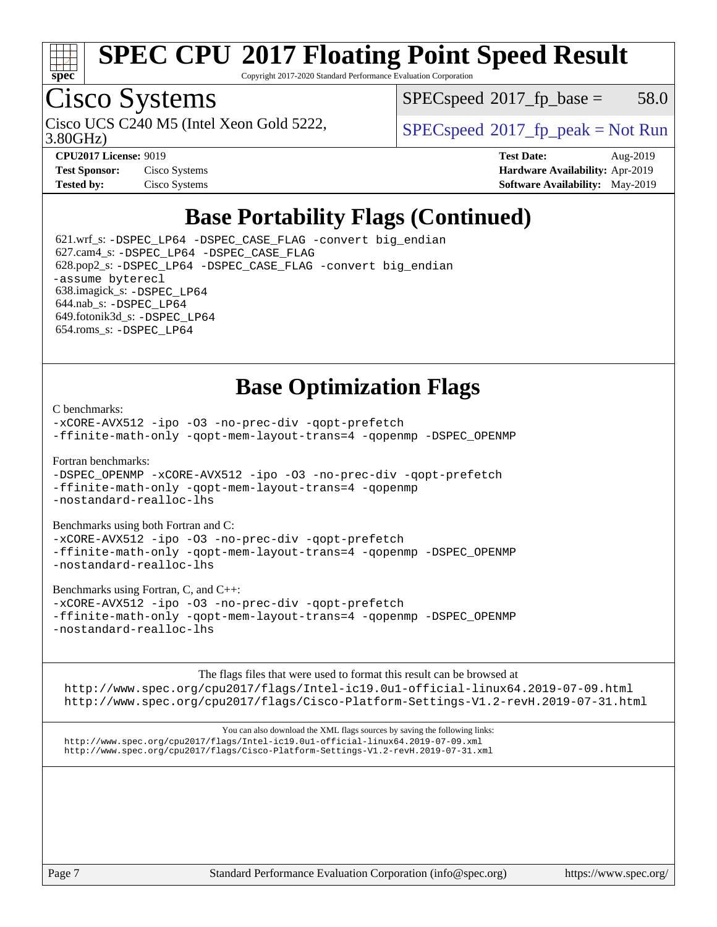

Copyright 2017-2020 Standard Performance Evaluation Corporation

## Cisco Systems

3.80GHz) Cisco UCS C240 M5 (Intel Xeon Gold 5222,  $\begin{array}{c|c}\n\text{SPEC speed} \textdegree 2017\_fp\_peak = Not Run\n\end{array}$ 

 $SPEC speed^{\circ}2017\_fp\_base = 58.0$ 

| <b>CI CAVIT LIQUISC.</b> 2012 |               |
|-------------------------------|---------------|
| <b>Test Sponsor:</b>          | Cisco Systems |
| Tested by:                    | Cisco Systems |

**[CPU2017 License:](http://www.spec.org/auto/cpu2017/Docs/result-fields.html#CPU2017License)** 9019 **[Test Date:](http://www.spec.org/auto/cpu2017/Docs/result-fields.html#TestDate)** Aug-2019 **[Hardware Availability:](http://www.spec.org/auto/cpu2017/Docs/result-fields.html#HardwareAvailability)** Apr-2019 **[Software Availability:](http://www.spec.org/auto/cpu2017/Docs/result-fields.html#SoftwareAvailability)** May-2019

## **[Base Portability Flags \(Continued\)](http://www.spec.org/auto/cpu2017/Docs/result-fields.html#BasePortabilityFlags)**

 621.wrf\_s: [-DSPEC\\_LP64](http://www.spec.org/cpu2017/results/res2019q3/cpu2017-20190819-16752.flags.html#suite_basePORTABILITY621_wrf_s_DSPEC_LP64) [-DSPEC\\_CASE\\_FLAG](http://www.spec.org/cpu2017/results/res2019q3/cpu2017-20190819-16752.flags.html#b621.wrf_s_baseCPORTABILITY_DSPEC_CASE_FLAG) [-convert big\\_endian](http://www.spec.org/cpu2017/results/res2019q3/cpu2017-20190819-16752.flags.html#user_baseFPORTABILITY621_wrf_s_convert_big_endian_c3194028bc08c63ac5d04de18c48ce6d347e4e562e8892b8bdbdc0214820426deb8554edfa529a3fb25a586e65a3d812c835984020483e7e73212c4d31a38223) 627.cam4\_s: [-DSPEC\\_LP64](http://www.spec.org/cpu2017/results/res2019q3/cpu2017-20190819-16752.flags.html#suite_basePORTABILITY627_cam4_s_DSPEC_LP64) [-DSPEC\\_CASE\\_FLAG](http://www.spec.org/cpu2017/results/res2019q3/cpu2017-20190819-16752.flags.html#b627.cam4_s_baseCPORTABILITY_DSPEC_CASE_FLAG) 628.pop2\_s: [-DSPEC\\_LP64](http://www.spec.org/cpu2017/results/res2019q3/cpu2017-20190819-16752.flags.html#suite_basePORTABILITY628_pop2_s_DSPEC_LP64) [-DSPEC\\_CASE\\_FLAG](http://www.spec.org/cpu2017/results/res2019q3/cpu2017-20190819-16752.flags.html#b628.pop2_s_baseCPORTABILITY_DSPEC_CASE_FLAG) [-convert big\\_endian](http://www.spec.org/cpu2017/results/res2019q3/cpu2017-20190819-16752.flags.html#user_baseFPORTABILITY628_pop2_s_convert_big_endian_c3194028bc08c63ac5d04de18c48ce6d347e4e562e8892b8bdbdc0214820426deb8554edfa529a3fb25a586e65a3d812c835984020483e7e73212c4d31a38223) [-assume byterecl](http://www.spec.org/cpu2017/results/res2019q3/cpu2017-20190819-16752.flags.html#user_baseFPORTABILITY628_pop2_s_assume_byterecl_7e47d18b9513cf18525430bbf0f2177aa9bf368bc7a059c09b2c06a34b53bd3447c950d3f8d6c70e3faf3a05c8557d66a5798b567902e8849adc142926523472) 638.imagick\_s: [-DSPEC\\_LP64](http://www.spec.org/cpu2017/results/res2019q3/cpu2017-20190819-16752.flags.html#suite_basePORTABILITY638_imagick_s_DSPEC_LP64) 644.nab\_s: [-DSPEC\\_LP64](http://www.spec.org/cpu2017/results/res2019q3/cpu2017-20190819-16752.flags.html#suite_basePORTABILITY644_nab_s_DSPEC_LP64) 649.fotonik3d\_s: [-DSPEC\\_LP64](http://www.spec.org/cpu2017/results/res2019q3/cpu2017-20190819-16752.flags.html#suite_basePORTABILITY649_fotonik3d_s_DSPEC_LP64) 654.roms\_s: [-DSPEC\\_LP64](http://www.spec.org/cpu2017/results/res2019q3/cpu2017-20190819-16752.flags.html#suite_basePORTABILITY654_roms_s_DSPEC_LP64)

## **[Base Optimization Flags](http://www.spec.org/auto/cpu2017/Docs/result-fields.html#BaseOptimizationFlags)**

[C benchmarks](http://www.spec.org/auto/cpu2017/Docs/result-fields.html#Cbenchmarks):

[-xCORE-AVX512](http://www.spec.org/cpu2017/results/res2019q3/cpu2017-20190819-16752.flags.html#user_CCbase_f-xCORE-AVX512) [-ipo](http://www.spec.org/cpu2017/results/res2019q3/cpu2017-20190819-16752.flags.html#user_CCbase_f-ipo) [-O3](http://www.spec.org/cpu2017/results/res2019q3/cpu2017-20190819-16752.flags.html#user_CCbase_f-O3) [-no-prec-div](http://www.spec.org/cpu2017/results/res2019q3/cpu2017-20190819-16752.flags.html#user_CCbase_f-no-prec-div) [-qopt-prefetch](http://www.spec.org/cpu2017/results/res2019q3/cpu2017-20190819-16752.flags.html#user_CCbase_f-qopt-prefetch) [-ffinite-math-only](http://www.spec.org/cpu2017/results/res2019q3/cpu2017-20190819-16752.flags.html#user_CCbase_f_finite_math_only_cb91587bd2077682c4b38af759c288ed7c732db004271a9512da14a4f8007909a5f1427ecbf1a0fb78ff2a814402c6114ac565ca162485bbcae155b5e4258871) [-qopt-mem-layout-trans=4](http://www.spec.org/cpu2017/results/res2019q3/cpu2017-20190819-16752.flags.html#user_CCbase_f-qopt-mem-layout-trans_fa39e755916c150a61361b7846f310bcdf6f04e385ef281cadf3647acec3f0ae266d1a1d22d972a7087a248fd4e6ca390a3634700869573d231a252c784941a8) [-qopenmp](http://www.spec.org/cpu2017/results/res2019q3/cpu2017-20190819-16752.flags.html#user_CCbase_qopenmp_16be0c44f24f464004c6784a7acb94aca937f053568ce72f94b139a11c7c168634a55f6653758ddd83bcf7b8463e8028bb0b48b77bcddc6b78d5d95bb1df2967) [-DSPEC\\_OPENMP](http://www.spec.org/cpu2017/results/res2019q3/cpu2017-20190819-16752.flags.html#suite_CCbase_DSPEC_OPENMP)

[Fortran benchmarks](http://www.spec.org/auto/cpu2017/Docs/result-fields.html#Fortranbenchmarks):

```
-DSPEC_OPENMP -xCORE-AVX512 -ipo -O3 -no-prec-div -qopt-prefetch
-ffinite-math-only -qopt-mem-layout-trans=4 -qopenmp
-nostandard-realloc-lhs
```
[Benchmarks using both Fortran and C](http://www.spec.org/auto/cpu2017/Docs/result-fields.html#BenchmarksusingbothFortranandC):

[-xCORE-AVX512](http://www.spec.org/cpu2017/results/res2019q3/cpu2017-20190819-16752.flags.html#user_CC_FCbase_f-xCORE-AVX512) [-ipo](http://www.spec.org/cpu2017/results/res2019q3/cpu2017-20190819-16752.flags.html#user_CC_FCbase_f-ipo) [-O3](http://www.spec.org/cpu2017/results/res2019q3/cpu2017-20190819-16752.flags.html#user_CC_FCbase_f-O3) [-no-prec-div](http://www.spec.org/cpu2017/results/res2019q3/cpu2017-20190819-16752.flags.html#user_CC_FCbase_f-no-prec-div) [-qopt-prefetch](http://www.spec.org/cpu2017/results/res2019q3/cpu2017-20190819-16752.flags.html#user_CC_FCbase_f-qopt-prefetch) [-ffinite-math-only](http://www.spec.org/cpu2017/results/res2019q3/cpu2017-20190819-16752.flags.html#user_CC_FCbase_f_finite_math_only_cb91587bd2077682c4b38af759c288ed7c732db004271a9512da14a4f8007909a5f1427ecbf1a0fb78ff2a814402c6114ac565ca162485bbcae155b5e4258871) [-qopt-mem-layout-trans=4](http://www.spec.org/cpu2017/results/res2019q3/cpu2017-20190819-16752.flags.html#user_CC_FCbase_f-qopt-mem-layout-trans_fa39e755916c150a61361b7846f310bcdf6f04e385ef281cadf3647acec3f0ae266d1a1d22d972a7087a248fd4e6ca390a3634700869573d231a252c784941a8) [-qopenmp](http://www.spec.org/cpu2017/results/res2019q3/cpu2017-20190819-16752.flags.html#user_CC_FCbase_qopenmp_16be0c44f24f464004c6784a7acb94aca937f053568ce72f94b139a11c7c168634a55f6653758ddd83bcf7b8463e8028bb0b48b77bcddc6b78d5d95bb1df2967) [-DSPEC\\_OPENMP](http://www.spec.org/cpu2017/results/res2019q3/cpu2017-20190819-16752.flags.html#suite_CC_FCbase_DSPEC_OPENMP) [-nostandard-realloc-lhs](http://www.spec.org/cpu2017/results/res2019q3/cpu2017-20190819-16752.flags.html#user_CC_FCbase_f_2003_std_realloc_82b4557e90729c0f113870c07e44d33d6f5a304b4f63d4c15d2d0f1fab99f5daaed73bdb9275d9ae411527f28b936061aa8b9c8f2d63842963b95c9dd6426b8a)

[Benchmarks using Fortran, C, and C++:](http://www.spec.org/auto/cpu2017/Docs/result-fields.html#BenchmarksusingFortranCandCXX)

[-xCORE-AVX512](http://www.spec.org/cpu2017/results/res2019q3/cpu2017-20190819-16752.flags.html#user_CC_CXX_FCbase_f-xCORE-AVX512) [-ipo](http://www.spec.org/cpu2017/results/res2019q3/cpu2017-20190819-16752.flags.html#user_CC_CXX_FCbase_f-ipo) [-O3](http://www.spec.org/cpu2017/results/res2019q3/cpu2017-20190819-16752.flags.html#user_CC_CXX_FCbase_f-O3) [-no-prec-div](http://www.spec.org/cpu2017/results/res2019q3/cpu2017-20190819-16752.flags.html#user_CC_CXX_FCbase_f-no-prec-div) [-qopt-prefetch](http://www.spec.org/cpu2017/results/res2019q3/cpu2017-20190819-16752.flags.html#user_CC_CXX_FCbase_f-qopt-prefetch) [-ffinite-math-only](http://www.spec.org/cpu2017/results/res2019q3/cpu2017-20190819-16752.flags.html#user_CC_CXX_FCbase_f_finite_math_only_cb91587bd2077682c4b38af759c288ed7c732db004271a9512da14a4f8007909a5f1427ecbf1a0fb78ff2a814402c6114ac565ca162485bbcae155b5e4258871) [-qopt-mem-layout-trans=4](http://www.spec.org/cpu2017/results/res2019q3/cpu2017-20190819-16752.flags.html#user_CC_CXX_FCbase_f-qopt-mem-layout-trans_fa39e755916c150a61361b7846f310bcdf6f04e385ef281cadf3647acec3f0ae266d1a1d22d972a7087a248fd4e6ca390a3634700869573d231a252c784941a8) [-qopenmp](http://www.spec.org/cpu2017/results/res2019q3/cpu2017-20190819-16752.flags.html#user_CC_CXX_FCbase_qopenmp_16be0c44f24f464004c6784a7acb94aca937f053568ce72f94b139a11c7c168634a55f6653758ddd83bcf7b8463e8028bb0b48b77bcddc6b78d5d95bb1df2967) [-DSPEC\\_OPENMP](http://www.spec.org/cpu2017/results/res2019q3/cpu2017-20190819-16752.flags.html#suite_CC_CXX_FCbase_DSPEC_OPENMP) [-nostandard-realloc-lhs](http://www.spec.org/cpu2017/results/res2019q3/cpu2017-20190819-16752.flags.html#user_CC_CXX_FCbase_f_2003_std_realloc_82b4557e90729c0f113870c07e44d33d6f5a304b4f63d4c15d2d0f1fab99f5daaed73bdb9275d9ae411527f28b936061aa8b9c8f2d63842963b95c9dd6426b8a)

[The flags files that were used to format this result can be browsed at](tmsearch)

<http://www.spec.org/cpu2017/flags/Intel-ic19.0u1-official-linux64.2019-07-09.html> <http://www.spec.org/cpu2017/flags/Cisco-Platform-Settings-V1.2-revH.2019-07-31.html>

[You can also download the XML flags sources by saving the following links:](tmsearch) <http://www.spec.org/cpu2017/flags/Intel-ic19.0u1-official-linux64.2019-07-09.xml> <http://www.spec.org/cpu2017/flags/Cisco-Platform-Settings-V1.2-revH.2019-07-31.xml>